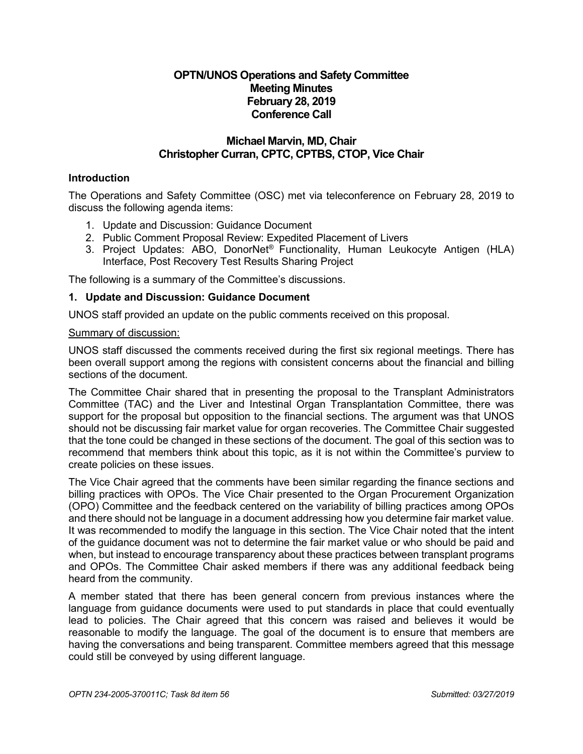# **OPTN/UNOS Operations and Safety Committee Meeting Minutes February 28, 2019 Conference Call**

# **Michael Marvin, MD, Chair Christopher Curran, CPTC, CPTBS, CTOP, Vice Chair**

# **Introduction**

The Operations and Safety Committee (OSC) met via teleconference on February 28, 2019 to discuss the following agenda items:

- 1. Update and Discussion: Guidance Document
- 2. Public Comment Proposal Review: Expedited Placement of Livers
- 3. Project Updates: ABO, DonorNet® Functionality, Human Leukocyte Antigen (HLA) Interface, Post Recovery Test Results Sharing Project

The following is a summary of the Committee's discussions.

#### **1. Update and Discussion: Guidance Document**

UNOS staff provided an update on the public comments received on this proposal.

#### Summary of discussion:

UNOS staff discussed the comments received during the first six regional meetings. There has been overall support among the regions with consistent concerns about the financial and billing sections of the document.

The Committee Chair shared that in presenting the proposal to the Transplant Administrators Committee (TAC) and the Liver and Intestinal Organ Transplantation Committee, there was support for the proposal but opposition to the financial sections. The argument was that UNOS should not be discussing fair market value for organ recoveries. The Committee Chair suggested that the tone could be changed in these sections of the document. The goal of this section was to recommend that members think about this topic, as it is not within the Committee's purview to create policies on these issues.

The Vice Chair agreed that the comments have been similar regarding the finance sections and billing practices with OPOs. The Vice Chair presented to the Organ Procurement Organization (OPO) Committee and the feedback centered on the variability of billing practices among OPOs and there should not be language in a document addressing how you determine fair market value. It was recommended to modify the language in this section. The Vice Chair noted that the intent of the guidance document was not to determine the fair market value or who should be paid and when, but instead to encourage transparency about these practices between transplant programs and OPOs. The Committee Chair asked members if there was any additional feedback being heard from the community.

A member stated that there has been general concern from previous instances where the language from guidance documents were used to put standards in place that could eventually lead to policies. The Chair agreed that this concern was raised and believes it would be reasonable to modify the language. The goal of the document is to ensure that members are having the conversations and being transparent. Committee members agreed that this message could still be conveyed by using different language.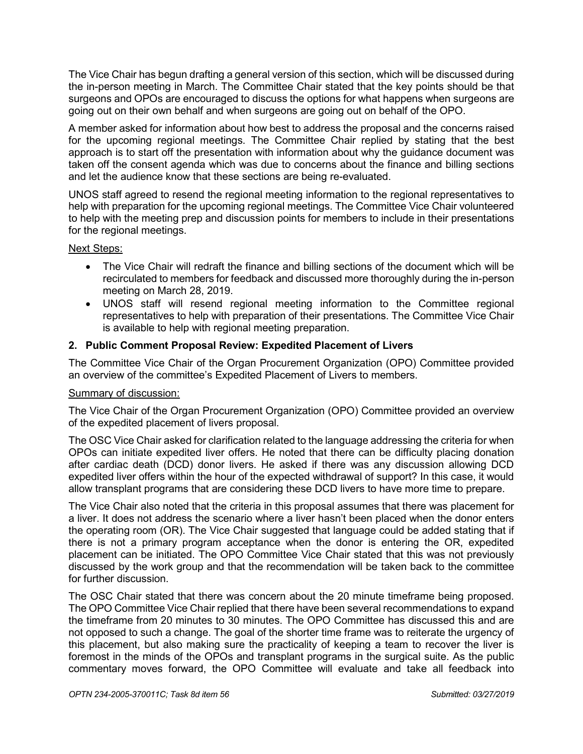The Vice Chair has begun drafting a general version of this section, which will be discussed during the in-person meeting in March. The Committee Chair stated that the key points should be that surgeons and OPOs are encouraged to discuss the options for what happens when surgeons are going out on their own behalf and when surgeons are going out on behalf of the OPO.

A member asked for information about how best to address the proposal and the concerns raised for the upcoming regional meetings. The Committee Chair replied by stating that the best approach is to start off the presentation with information about why the guidance document was taken off the consent agenda which was due to concerns about the finance and billing sections and let the audience know that these sections are being re-evaluated.

UNOS staff agreed to resend the regional meeting information to the regional representatives to help with preparation for the upcoming regional meetings. The Committee Vice Chair volunteered to help with the meeting prep and discussion points for members to include in their presentations for the regional meetings.

# Next Steps:

- The Vice Chair will redraft the finance and billing sections of the document which will be recirculated to members for feedback and discussed more thoroughly during the in-person meeting on March 28, 2019.
- UNOS staff will resend regional meeting information to the Committee regional representatives to help with preparation of their presentations. The Committee Vice Chair is available to help with regional meeting preparation.

# **2. Public Comment Proposal Review: Expedited Placement of Livers**

The Committee Vice Chair of the Organ Procurement Organization (OPO) Committee provided an overview of the committee's Expedited Placement of Livers to members.

# Summary of discussion:

The Vice Chair of the Organ Procurement Organization (OPO) Committee provided an overview of the expedited placement of livers proposal.

The OSC Vice Chair asked for clarification related to the language addressing the criteria for when OPOs can initiate expedited liver offers. He noted that there can be difficulty placing donation after cardiac death (DCD) donor livers. He asked if there was any discussion allowing DCD expedited liver offers within the hour of the expected withdrawal of support? In this case, it would allow transplant programs that are considering these DCD livers to have more time to prepare.

The Vice Chair also noted that the criteria in this proposal assumes that there was placement for a liver. It does not address the scenario where a liver hasn't been placed when the donor enters the operating room (OR). The Vice Chair suggested that language could be added stating that if there is not a primary program acceptance when the donor is entering the OR, expedited placement can be initiated. The OPO Committee Vice Chair stated that this was not previously discussed by the work group and that the recommendation will be taken back to the committee for further discussion.

The OSC Chair stated that there was concern about the 20 minute timeframe being proposed. The OPO Committee Vice Chair replied that there have been several recommendations to expand the timeframe from 20 minutes to 30 minutes. The OPO Committee has discussed this and are not opposed to such a change. The goal of the shorter time frame was to reiterate the urgency of this placement, but also making sure the practicality of keeping a team to recover the liver is foremost in the minds of the OPOs and transplant programs in the surgical suite. As the public commentary moves forward, the OPO Committee will evaluate and take all feedback into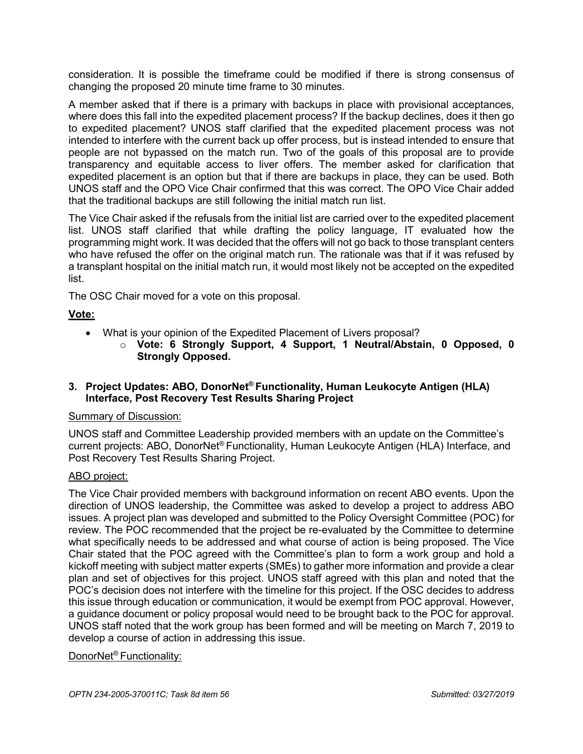consideration. It is possible the timeframe could be modified if there is strong consensus of changing the proposed 20 minute time frame to 30 minutes.

A member asked that if there is a primary with backups in place with provisional acceptances, where does this fall into the expedited placement process? If the backup declines, does it then go to expedited placement? UNOS staff clarified that the expedited placement process was not intended to interfere with the current back up offer process, but is instead intended to ensure that people are not bypassed on the match run. Two of the goals of this proposal are to provide transparency and equitable access to liver offers. The member asked for clarification that expedited placement is an option but that if there are backups in place, they can be used. Both UNOS staff and the OPO Vice Chair confirmed that this was correct. The OPO Vice Chair added that the traditional backups are still following the initial match run list.

The Vice Chair asked if the refusals from the initial list are carried over to the expedited placement list. UNOS staff clarified that while drafting the policy language, IT evaluated how the programming might work. It was decided that the offers will not go back to those transplant centers who have refused the offer on the original match run. The rationale was that if it was refused by a transplant hospital on the initial match run, it would most likely not be accepted on the expedited list.

The OSC Chair moved for a vote on this proposal.

# **Vote:**

- What is your opinion of the Expedited Placement of Livers proposal?
	- o **Vote: 6 Strongly Support, 4 Support, 1 Neutral/Abstain, 0 Opposed, 0 Strongly Opposed.**

# **3. Project Updates: ABO, DonorNet® Functionality, Human Leukocyte Antigen (HLA) Interface, Post Recovery Test Results Sharing Project**

#### Summary of Discussion:

UNOS staff and Committee Leadership provided members with an update on the Committee's current projects: ABO, DonorNet® Functionality, Human Leukocyte Antigen (HLA) Interface, and Post Recovery Test Results Sharing Project.

# ABO project:

The Vice Chair provided members with background information on recent ABO events. Upon the direction of UNOS leadership, the Committee was asked to develop a project to address ABO issues. A project plan was developed and submitted to the Policy Oversight Committee (POC) for review. The POC recommended that the project be re-evaluated by the Committee to determine what specifically needs to be addressed and what course of action is being proposed. The Vice Chair stated that the POC agreed with the Committee's plan to form a work group and hold a kickoff meeting with subject matter experts (SMEs) to gather more information and provide a clear plan and set of objectives for this project. UNOS staff agreed with this plan and noted that the POC's decision does not interfere with the timeline for this project. If the OSC decides to address this issue through education or communication, it would be exempt from POC approval. However, a guidance document or policy proposal would need to be brought back to the POC for approval. UNOS staff noted that the work group has been formed and will be meeting on March 7, 2019 to develop a course of action in addressing this issue.

# DonorNet® Functionality: